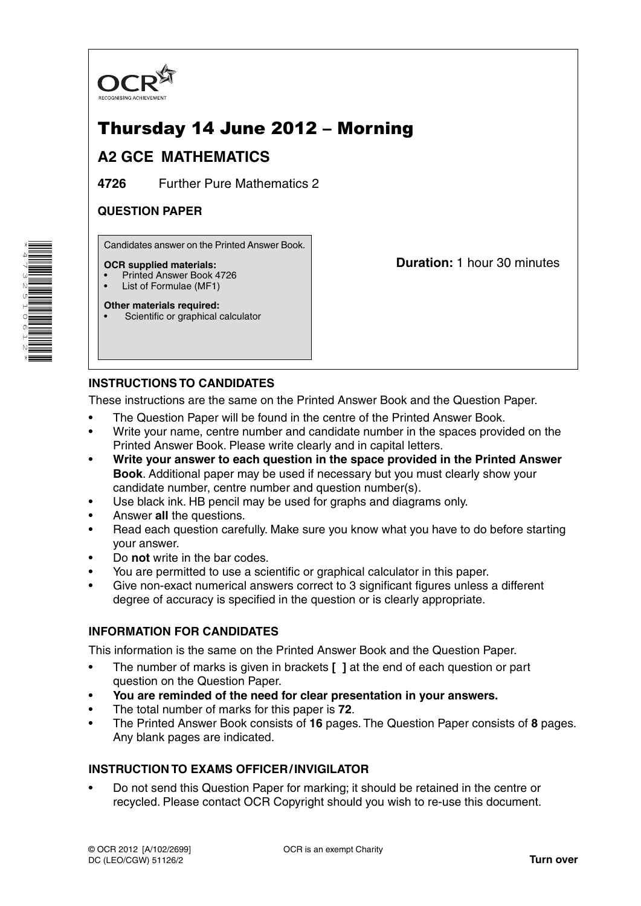

# Thursday 14 June 2012 – Morning

# **A2 GCE MATHEMATICS**

**4726** Further Pure Mathematics 2

# **QUESTION PAPER**

Candidates answer on the Printed Answer Book.

#### **OCR supplied materials:**

- Printed Answer Book 4726
- List of Formulae (MF1)

**Duration:** 1 hour 30 minutes

#### **Other materials required:** Scientific or graphical calculator

**INSTRUCTIONS TO CANDIDATES**

These instructions are the same on the Printed Answer Book and the Question Paper.

- The Question Paper will be found in the centre of the Printed Answer Book.
- Write your name, centre number and candidate number in the spaces provided on the Printed Answer Book. Please write clearly and in capital letters.
- **Write your answer to each question in the space provided in the Printed Answer Book**. Additional paper may be used if necessary but you must clearly show your candidate number, centre number and question number(s).
- Use black ink. HB pencil may be used for graphs and diagrams only.
- Answer **all** the questions.
- Read each question carefully. Make sure you know what you have to do before starting your answer.
- Do **not** write in the bar codes.
- You are permitted to use a scientific or graphical calculator in this paper.
- Give non-exact numerical answers correct to 3 significant figures unless a different degree of accuracy is specified in the question or is clearly appropriate.

## **INFORMATION FOR CANDIDATES**

This information is the same on the Printed Answer Book and the Question Paper.

- The number of marks is given in brackets **[ ]** at the end of each question or part question on the Question Paper.
- **You are reminded of the need for clear presentation in your answers.**
- The total number of marks for this paper is **72**.
- The Printed Answer Book consists of **16** pages. The Question Paper consists of **8** pages. Any blank pages are indicated.

# **INSTRUCTION TO EXAMS OFFICER / INVIGILATOR**

• Do not send this Question Paper for marking; it should be retained in the centre or recycled. Please contact OCR Copyright should you wish to re-use this document.

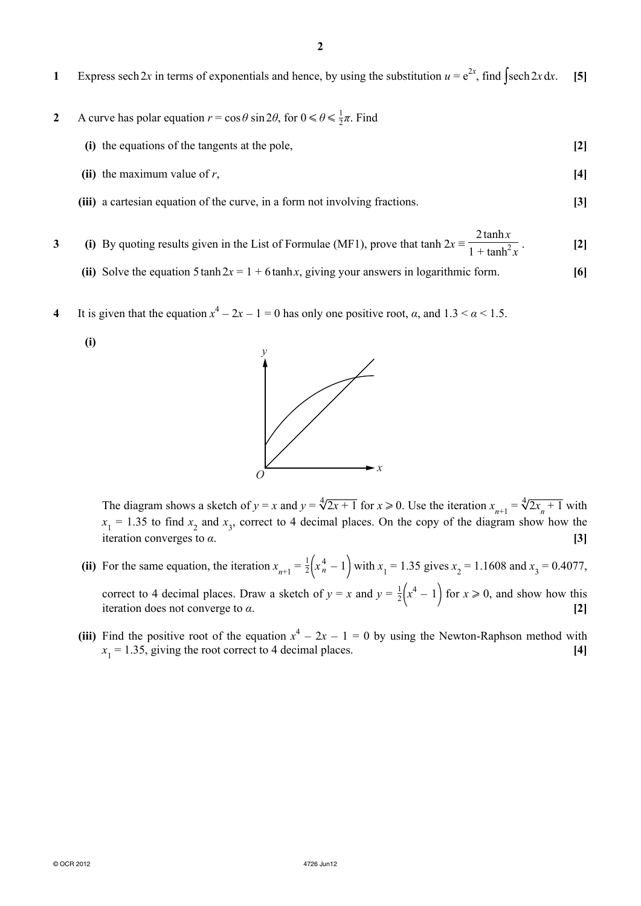- **2**
- **1** Express sech 2*x* in terms of exponentials and hence, by using the substitution  $u = e^{2x}$ , find ∫sech 2*x* d*x*. [5]
- **2** A curve has polar equation  $r = \cos \theta \sin 2\theta$ , for  $0 \le \theta \le \frac{1}{2}\pi$ . Find
	- **(i)** the equations of the tangents at the pole, **[2]**
	- **(ii)** the maximum value of *r*, **[4]**
	- **(iii)** a cartesian equation of the curve, in a form not involving fractions. **[3]**
- **3** (i) By quoting results given in the List of Formulae (MF1), prove that  $\tanh 2x = \frac{2 \tanh x}{1 + \tanh^2 x}$  . **[2]**
	- **(ii)** Solve the equation 5 tanh  $2x = 1 + 6$  tanh *x*, giving your answers in logarithmic form. **[6]**
- **4** It is given that the equation  $x^4 2x 1 = 0$  has only one positive root, *α*, and  $1.3 < \alpha < 1.5$ .





The diagram shows a sketch of  $y = x$  and  $y = \sqrt[4]{2x + 1}$  for  $x \ge 0$ . Use the iteration  $x_{n+1} = \sqrt[4]{2x_n + 1}$  with  $x_1 = 1.35$  to find  $x_2$  and  $x_3$ , correct to 4 decimal places. On the copy of the diagram show how the iteration converges to  $\alpha$ . **[3]** 

- (ii) For the same equation, the iteration  $x_{n+1} = \frac{1}{2} \left( x_n^4 1 \right)$  with  $x_1 = 1.35$  gives  $x_2 = 1.1608$  and  $x_3 = 0.4077$ , correct to 4 decimal places. Draw a sketch of  $y = x$  and  $y = \frac{1}{2}(x^4 - 1)$  for  $x \ge 0$ , and show how this iteration does not converge to  $\alpha$ . **[2]**
- (iii) Find the positive root of the equation  $x^4 2x 1 = 0$  by using the Newton-Raphson method with  $x_1 = 1.35$ , giving the root correct to 4 decimal places. **[4]**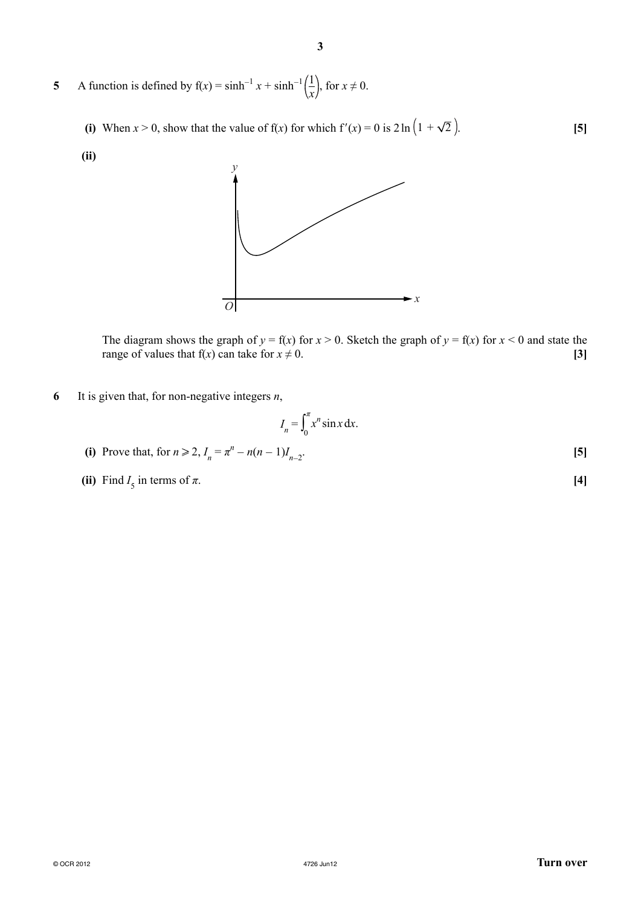**5** A function is defined by  $f(x) = \sinh^{-1} x + \sinh^{-1} \left(\frac{1}{x}\right)$ , for  $x \neq 0$ .

**(i)** When  $x > 0$ , show that the value of  $f(x)$  for which  $f'(x) = 0$  is  $2 \ln(1 + \sqrt{2})$ . [5]

 **(ii)** 



The diagram shows the graph of  $y = f(x)$  for  $x > 0$ . Sketch the graph of  $y = f(x)$  for  $x < 0$  and state the range of values that  $f(x)$  can take for  $x \ne 0$ . **[3]** 

**6** It is given that, for non-negative integers *n*,

$$
I_n = \int_0^\pi x^n \sin x \, dx.
$$

(i) Prove that, for 
$$
n \ge 2
$$
,  $I_n = \pi^n - n(n-1)I_{n-2}$ . [5]

**(ii)** Find  $I_5$  in terms of  $\pi$ . **[4]**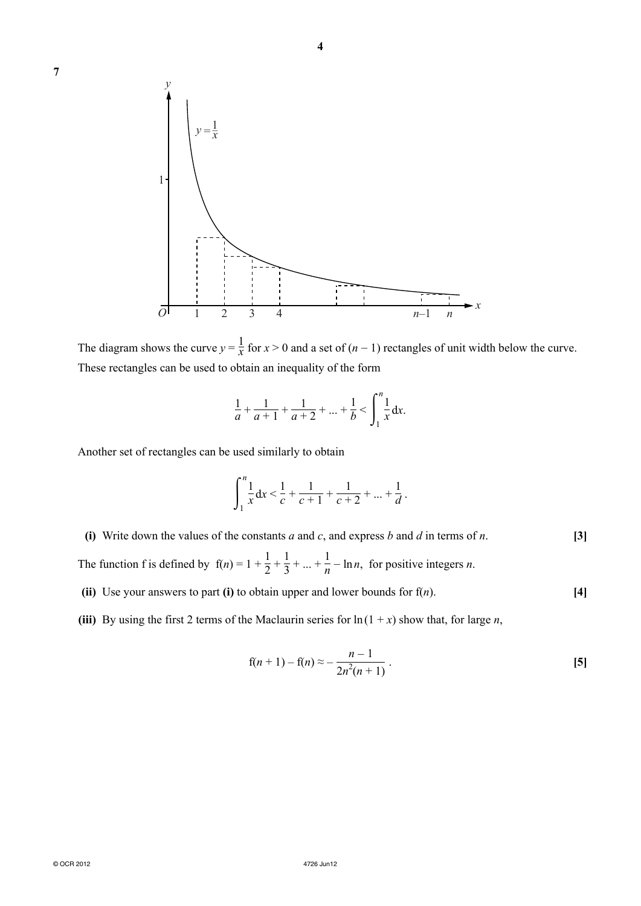

**4**

The diagram shows the curve  $y = \frac{1}{x}$  for  $x > 0$  and a set of  $(n - 1)$  rectangles of unit width below the curve. These rectangles can be used to obtain an inequality of the form

$$
\frac{1}{a} + \frac{1}{a+1} + \frac{1}{a+2} + \dots + \frac{1}{b} < \int_{1}^{n} \frac{1}{x} \, \mathrm{d}x.
$$

Another set of rectangles can be used similarly to obtain

$$
\int_{1}^{n} \frac{1}{x} dx < \frac{1}{c} + \frac{1}{c+1} + \frac{1}{c+2} + \dots + \frac{1}{d}.
$$

 **(i)** Write down the values of the constants *a* and *c*, and express *b* and *d* in terms of *n*. **[3]** The function f is defined by  $f(n) = 1 + \frac{1}{2} + \frac{1}{3} + \dots + \frac{1}{n} - \ln n$ , for positive integers *n*.

 **(ii)** Use your answers to part **(i)** to obtain upper and lower bounds for f(*n*). **[4]**

**(iii)** By using the first 2 terms of the Maclaurin series for  $ln(1 + x)$  show that, for large *n*,

$$
f(n + 1) - f(n) \approx -\frac{n-1}{2n^2(n+1)}
$$
 [5]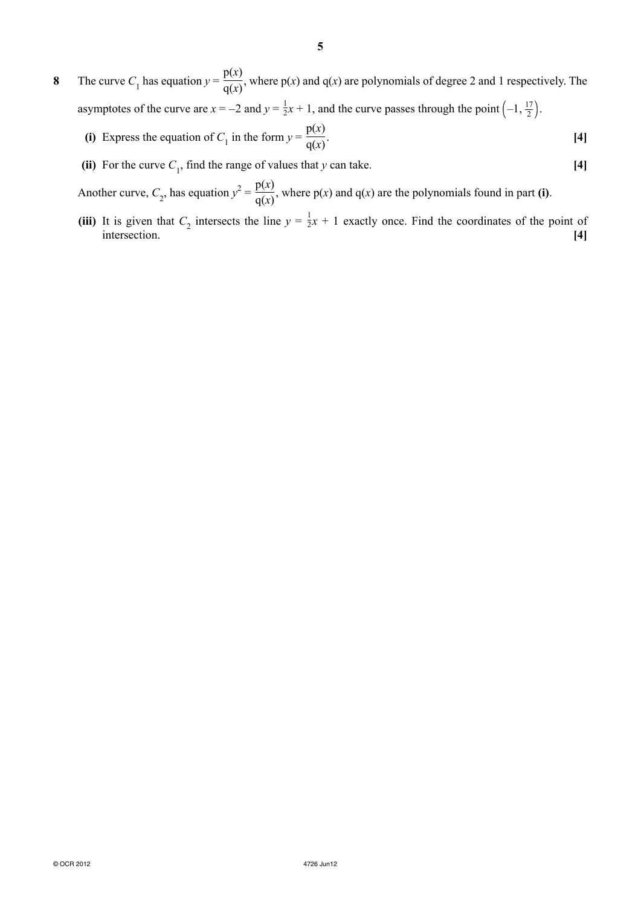- **8** The curve  $C_1$  has equation  $y =$  $p(x)$  $\frac{\overline{P(x)}}{q(x)}$ , where  $p(x)$  and  $q(x)$  are polynomials of degree 2 and 1 respectively. The asymptotes of the curve are  $x = -2$  and  $y = \frac{1}{2}x + 1$ , and the curve passes through the point  $\left(-1, \frac{17}{2}\right)$ .
- **(i)** Express the equation of  $C_1$  in the form  $y =$ p(*x*) q(*x*) . **[4]**
- (ii) For the curve  $C_1$ , find the range of values that *y* can take. [4]

Another curve,  $C_2$ , has equation  $y^2 =$ p(*x*)  $\frac{\overline{P(x)}}{q(x)}$ , where  $p(x)$  and  $q(x)$  are the polynomials found in part **(i)**.

(iii) It is given that  $C_2$  intersects the line  $y = \frac{1}{2}x + 1$  exactly once. Find the coordinates of the point of intersection. **[4]**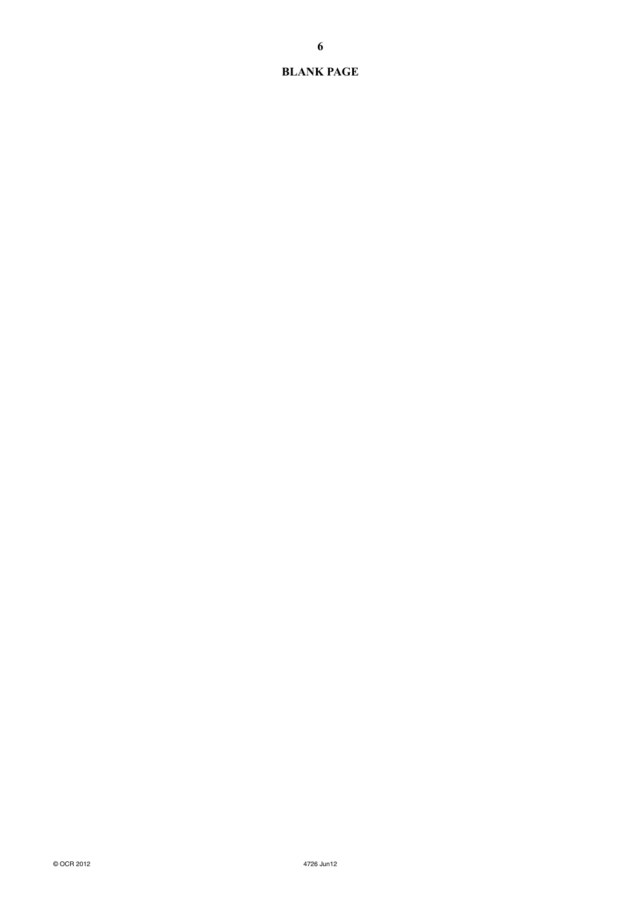## **BLANK PAGE**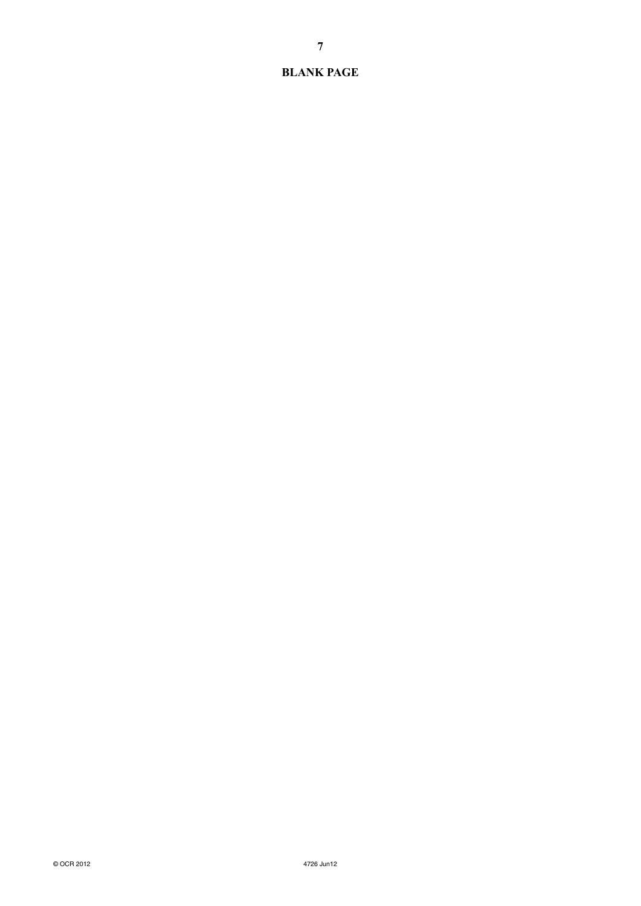## **BLANK PAGE**